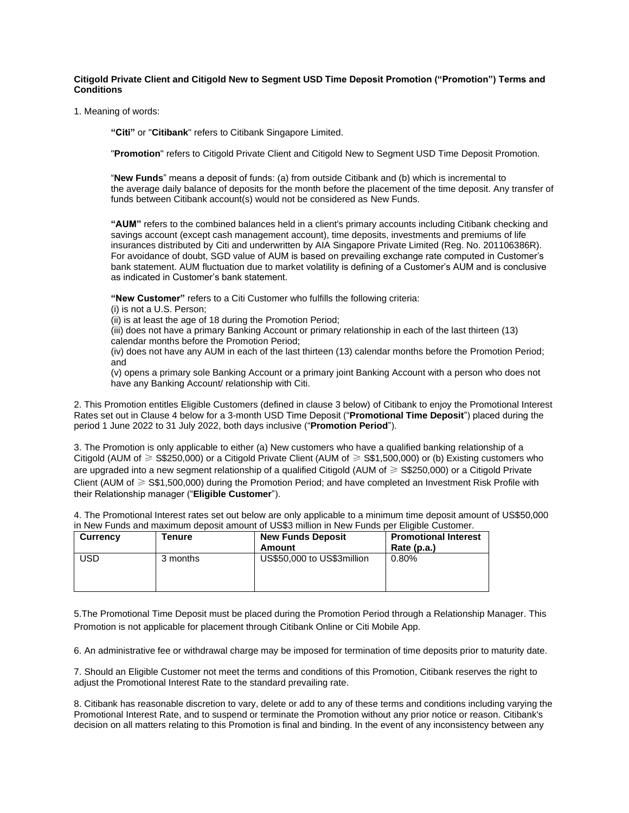## **Citigold Private Client and Citigold New to Segment USD Time Deposit Promotion ("Promotion") Terms and Conditions**

1. Meaning of words:

**"Citi"** or "**Citibank**" refers to Citibank Singapore Limited.

"**Promotion**" refers to Citigold Private Client and Citigold New to Segment USD Time Deposit Promotion.

"**New Funds**" means a deposit of funds: (a) from outside Citibank and (b) which is incremental to the average daily balance of deposits for the month before the placement of the time deposit. Any transfer of funds between Citibank account(s) would not be considered as New Funds.

**"AUM"** refers to the combined balances held in a client's primary accounts including Citibank checking and savings account (except cash management account), time deposits, investments and premiums of life insurances distributed by Citi and underwritten by AIA Singapore Private Limited (Reg. No. 201106386R). For avoidance of doubt, SGD value of AUM is based on prevailing exchange rate computed in Customer's bank statement. AUM fluctuation due to market volatility is defining of a Customer's AUM and is conclusive as indicated in Customer's bank statement.

**"New Customer"** refers to a Citi Customer who fulfills the following criteria:

(i) is not a U.S. Person;

(ii) is at least the age of 18 during the Promotion Period;

(iii) does not have a primary Banking Account or primary relationship in each of the last thirteen (13) calendar months before the Promotion Period;

(iv) does not have any AUM in each of the last thirteen (13) calendar months before the Promotion Period; and

(v) opens a primary sole Banking Account or a primary joint Banking Account with a person who does not have any Banking Account/ relationship with Citi.

2. This Promotion entitles Eligible Customers (defined in clause 3 below) of Citibank to enjoy the Promotional Interest Rates set out in Clause 4 below for a 3-month USD Time Deposit ("**Promotional Time Deposit**") placed during the period 1 June 2022 to 31 July 2022, both days inclusive ("**Promotion Period**").

3. The Promotion is only applicable to either (a) New customers who have a qualified banking relationship of a Citigold (AUM of ≥ S\$250,000) or a Citigold Private Client (AUM of ≥ S\$1,500,000) or (b) Existing customers who are upgraded into a new segment relationship of a qualified Citigold (AUM of ≥ S\$250,000) or a Citigold Private Client (AUM of ≥ S\$1,500,000) during the Promotion Period; and have completed an Investment Risk Profile with their Relationship manager ("**Eligible Customer**").

4. The Promotional Interest rates set out below are only applicable to a minimum time deposit amount of US\$50,000 in New Funds and maximum deposit amount of US\$3 million in New Funds per Eligible Customer.

| <b>Currency</b> | Γenure   | <b>New Funds Deposit</b><br>Amount | <b>Promotional Interest</b><br>Rate (p.a.) |
|-----------------|----------|------------------------------------|--------------------------------------------|
| USD             | 3 months | US\$50,000 to US\$3million         | 0.80%                                      |

5.The Promotional Time Deposit must be placed during the Promotion Period through a Relationship Manager. This Promotion is not applicable for placement through Citibank Online or Citi Mobile App.

6. An administrative fee or withdrawal charge may be imposed for termination of time deposits prior to maturity date.

7. Should an Eligible Customer not meet the terms and conditions of this Promotion, Citibank reserves the right to adjust the Promotional Interest Rate to the standard prevailing rate.

8. Citibank has reasonable discretion to vary, delete or add to any of these terms and conditions including varying the Promotional Interest Rate, and to suspend or terminate the Promotion without any prior notice or reason. Citibank's decision on all matters relating to this Promotion is final and binding. In the event of any inconsistency between any